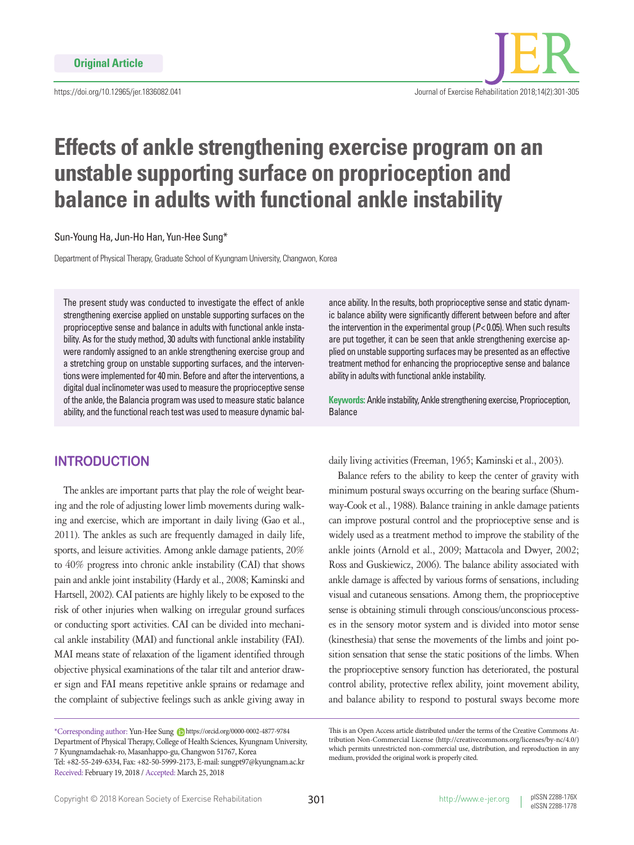

# **Effects of ankle strengthening exercise program on an unstable supporting surface on proprioception and balance in adults with functional ankle instability**

Sun-Young Ha, Jun-Ho Han, Yun-Hee Sung\*

Department of Physical Therapy, Graduate School of Kyungnam University, Changwon, Korea

The present study was conducted to investigate the effect of ankle strengthening exercise applied on unstable supporting surfaces on the proprioceptive sense and balance in adults with functional ankle instability. As for the study method, 30 adults with functional ankle instability were randomly assigned to an ankle strengthening exercise group and a stretching group on unstable supporting surfaces, and the interventions were implemented for 40 min. Before and after the interventions, a digital dual inclinometer was used to measure the proprioceptive sense of the ankle, the Balancia program was used to measure static balance ability, and the functional reach test was used to measure dynamic bal-

## **INTRODUCTION**

The ankles are important parts that play the role of weight bearing and the role of adjusting lower limb movements during walking and exercise, which are important in daily living (Gao et al., 2011). The ankles as such are frequently damaged in daily life, sports, and leisure activities. Among ankle damage patients, 20% to 40% progress into chronic ankle instability (CAI) that shows pain and ankle joint instability (Hardy et al., 2008; Kaminski and Hartsell, 2002). CAI patients are highly likely to be exposed to the risk of other injuries when walking on irregular ground surfaces or conducting sport activities. CAI can be divided into mechanical ankle instability (MAI) and functional ankle instability (FAI). MAI means state of relaxation of the ligament identified through objective physical examinations of the talar tilt and anterior drawer sign and FAI means repetitive ankle sprains or redamage and the complaint of subjective feelings such as ankle giving away in

ance ability. In the results, both proprioceptive sense and static dynamic balance ability were significantly different between before and after the intervention in the experimental group (*P*< 0.05). When such results are put together, it can be seen that ankle strengthening exercise applied on unstable supporting surfaces may be presented as an effective treatment method for enhancing the proprioceptive sense and balance ability in adults with functional ankle instability.

**Keywords:** Ankle instability, Ankle strengthening exercise, Proprioception, Balance

daily living activities (Freeman, 1965; Kaminski et al., 2003).

Balance refers to the ability to keep the center of gravity with minimum postural sways occurring on the bearing surface (Shumway-Cook et al., 1988). Balance training in ankle damage patients can improve postural control and the proprioceptive sense and is widely used as a treatment method to improve the stability of the ankle joints (Arnold et al., 2009; Mattacola and Dwyer, 2002; Ross and Guskiewicz, 2006). The balance ability associated with ankle damage is affected by various forms of sensations, including visual and cutaneous sensations. Among them, the proprioceptive sense is obtaining stimuli through conscious/unconscious processes in the sensory motor system and is divided into motor sense (kinesthesia) that sense the movements of the limbs and joint position sensation that sense the static positions of the limbs. When the proprioceptive sensory function has deteriorated, the postural control ability, protective reflex ability, joint movement ability, and balance ability to respond to postural sways become more

<sup>\*</sup>Corresponding author: Yun-Hee Sung (D https://orcid.org/0000-0002-4877-9784 Department of Physical Therapy, College of Health Sciences, Kyungnam University, 7 Kyungnamdaehak-ro, Masanhappo-gu, Changwon 51767, Korea Tel: +82-55-249-6334, Fax: +82-50-5999-2173, E-mail: sungpt97@kyungnam.ac.kr Received: February 19, 2018 / Accepted: March 25, 2018

This is an Open Access article distributed under the terms of the Creative Commons Attribution Non-Commercial License (http://creativecommons.org/licenses/by-nc/4.0/) which permits unrestricted non-commercial use, distribution, and reproduction in any medium, provided the original work is properly cited.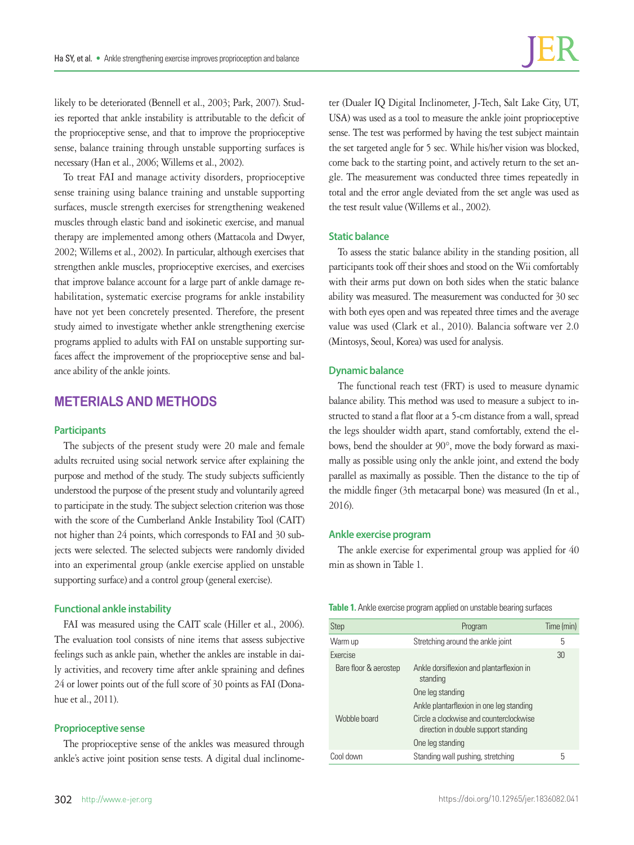likely to be deteriorated (Bennell et al., 2003; Park, 2007). Studies reported that ankle instability is attributable to the deficit of the proprioceptive sense, and that to improve the proprioceptive sense, balance training through unstable supporting surfaces is necessary (Han et al., 2006; Willems et al., 2002).

To treat FAI and manage activity disorders, proprioceptive sense training using balance training and unstable supporting surfaces, muscle strength exercises for strengthening weakened muscles through elastic band and isokinetic exercise, and manual therapy are implemented among others (Mattacola and Dwyer, 2002; Willems et al., 2002). In particular, although exercises that strengthen ankle muscles, proprioceptive exercises, and exercises that improve balance account for a large part of ankle damage rehabilitation, systematic exercise programs for ankle instability have not yet been concretely presented. Therefore, the present study aimed to investigate whether ankle strengthening exercise programs applied to adults with FAI on unstable supporting surfaces affect the improvement of the proprioceptive sense and balance ability of the ankle joints.

# **METERIALS AND METHODS**

#### **Participants**

The subjects of the present study were 20 male and female adults recruited using social network service after explaining the purpose and method of the study. The study subjects sufficiently understood the purpose of the present study and voluntarily agreed to participate in the study. The subject selection criterion was those with the score of the Cumberland Ankle Instability Tool (CAIT) not higher than 24 points, which corresponds to FAI and 30 subjects were selected. The selected subjects were randomly divided into an experimental group (ankle exercise applied on unstable supporting surface) and a control group (general exercise).

#### **Functional ankle instability**

FAI was measured using the CAIT scale (Hiller et al., 2006). The evaluation tool consists of nine items that assess subjective feelings such as ankle pain, whether the ankles are instable in daily activities, and recovery time after ankle spraining and defines 24 or lower points out of the full score of 30 points as FAI (Donahue et al., 2011).

#### **Proprioceptive sense**

The proprioceptive sense of the ankles was measured through ankle's active joint position sense tests. A digital dual inclinome-

ter (Dualer IQ Digital Inclinometer, J-Tech, Salt Lake City, UT, USA) was used as a tool to measure the ankle joint proprioceptive sense. The test was performed by having the test subject maintain the set targeted angle for 5 sec. While his/her vision was blocked, come back to the starting point, and actively return to the set angle. The measurement was conducted three times repeatedly in total and the error angle deviated from the set angle was used as the test result value (Willems et al., 2002).

#### **Static balance**

To assess the static balance ability in the standing position, all participants took off their shoes and stood on the Wii comfortably with their arms put down on both sides when the static balance ability was measured. The measurement was conducted for 30 sec with both eyes open and was repeated three times and the average value was used (Clark et al., 2010). Balancia software ver 2.0 (Mintosys, Seoul, Korea) was used for analysis.

#### **Dynamic balance**

The functional reach test (FRT) is used to measure dynamic balance ability. This method was used to measure a subject to instructed to stand a flat floor at a 5-cm distance from a wall, spread the legs shoulder width apart, stand comfortably, extend the elbows, bend the shoulder at 90°, move the body forward as maximally as possible using only the ankle joint, and extend the body parallel as maximally as possible. Then the distance to the tip of the middle finger (3th metacarpal bone) was measured (In et al., 2016).

#### **Ankle exercise program**

The ankle exercise for experimental group was applied for 40 min as shown in Table 1.

#### **Table 1.** Ankle exercise program applied on unstable bearing surfaces

| <b>Step</b>           | Program                                                                         | Time (min) |
|-----------------------|---------------------------------------------------------------------------------|------------|
| Warm up               | Stretching around the ankle joint                                               | 5          |
| Exercise              |                                                                                 | 30         |
| Bare floor & aerostep | Ankle dorsiflexion and plantarflexion in<br>standing                            |            |
|                       | One leg standing                                                                |            |
|                       | Ankle plantarflexion in one leg standing                                        |            |
| Wobble board          | Circle a clockwise and counterclockwise<br>direction in double support standing |            |
|                       | One leg standing                                                                |            |
| Cool down             | Standing wall pushing, stretching                                               | 5          |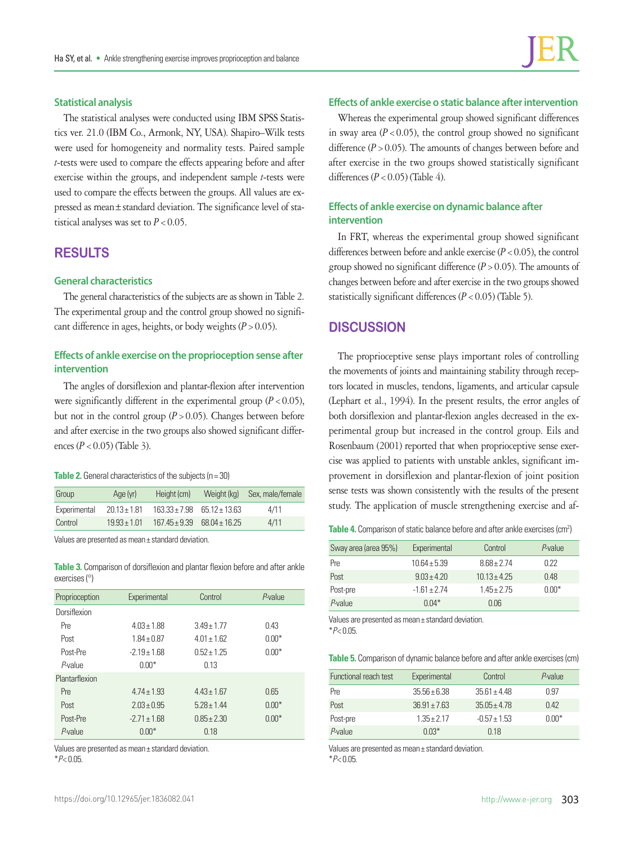#### **Statistical analysis**

The statistical analyses were conducted using IBM SPSS Statistics ver. 21.0 (IBM Co., Armonk, NY, USA). Shapiro–Wilk tests were used for homogeneity and normality tests. Paired sample *t*-tests were used to compare the effects appearing before and after exercise within the groups, and independent sample *t*-tests were used to compare the effects between the groups. All values are expressed as mean±standard deviation. The significance level of statistical analyses was set to  $P < 0.05$ .

# **RESULTS**

### **General characteristics**

The general characteristics of the subjects are as shown in Table 2. The experimental group and the control group showed no significant difference in ages, heights, or body weights  $(P > 0.05)$ .

## **Effects of ankle exercise on the proprioception sense after intervention**

The angles of dorsiflexion and plantar-flexion after intervention were significantly different in the experimental group  $(P < 0.05)$ , but not in the control group  $(P > 0.05)$ . Changes between before and after exercise in the two groups also showed significant differences  $(P < 0.05)$  (Table 3).

**Table 2.** General characteristics of the subjects (n=30)

| Group        | Age (yr)         | Height (cm)                         | Weight (kg)                         | Sex, male/female |
|--------------|------------------|-------------------------------------|-------------------------------------|------------------|
| Experimental | $20.13 \pm 1.81$ |                                     | $163.33 \pm 7.98$ 65.12 $\pm$ 13.63 | 4/11             |
| Control      | $19.93 \pm 1.01$ | $167.45 \pm 9.39$ $68.04 \pm 16.25$ |                                     | 4/11             |

Values are presented as mean± standard deviation.

**Table 3.** Comparison of dorsiflexion and plantar flexion before and after ankle exercises (°)

| Proprioception | Experimental    | Control         | P-value |
|----------------|-----------------|-----------------|---------|
| Dorsiflexion   |                 |                 |         |
| Pre            | $4.03 \pm 1.88$ | $3.49 + 1.77$   | 0.43    |
| Post           | $1.84 \pm 0.87$ | $4.01 \pm 1.62$ | $0.00*$ |
| Post-Pre       | $-2.19 + 1.68$  | $0.52 + 1.25$   | $0.00*$ |
| P-value        | $0.00*$         | 0.13            |         |
| Plantarflexion |                 |                 |         |
| Pre            | $4.74 \pm 1.93$ | $4.43 \pm 1.67$ | 0.65    |
| Post           | $2.03 + 0.95$   | $5.28 + 1.44$   | $0.00*$ |
| Post-Pre       | $-271 + 168$    | $0.85 + 2.30$   | $0.00*$ |
| P-value        | $0.00*$         | 0.18            |         |

Values are presented as mean± standard deviation. \**P*< 0.05.

## **Effects of ankle exercise o static balance after intervention**

Whereas the experimental group showed significant differences in sway area  $(P < 0.05)$ , the control group showed no significant difference  $(P > 0.05)$ . The amounts of changes between before and after exercise in the two groups showed statistically significant differences  $(P < 0.05)$  (Table 4).

## **Effects of ankle exercise on dynamic balance after intervention**

In FRT, whereas the experimental group showed significant differences between before and ankle exercise  $(P < 0.05)$ , the control group showed no significant difference  $(P > 0.05)$ . The amounts of changes between before and after exercise in the two groups showed statistically significant differences  $(P < 0.05)$  (Table 5).

## **DISCUSSION**

The proprioceptive sense plays important roles of controlling the movements of joints and maintaining stability through receptors located in muscles, tendons, ligaments, and articular capsule (Lephart et al., 1994). In the present results, the error angles of both dorsiflexion and plantar-flexion angles decreased in the experimental group but increased in the control group. Eils and Rosenbaum (2001) reported that when proprioceptive sense exercise was applied to patients with unstable ankles, significant improvement in dorsiflexion and plantar-flexion of joint position sense tests was shown consistently with the results of the present study. The application of muscle strengthening exercise and af-

Table 4. Comparison of static balance before and after ankle exercises (cm<sup>2</sup>)

| Sway area (area 95%) | Experimental   | Control         | P-value |
|----------------------|----------------|-----------------|---------|
| Pre                  | $10.64 + 5.39$ | $8.68 \pm 2.74$ | 0.22    |
| Post                 | $9.03 + 4.20$  | $10.13 + 4.25$  | 0.48    |
| Post-pre             | $-1.61 + 2.74$ | $1.45 \pm 2.75$ | $0.00*$ |
| P-value              | $0.04*$        | 0.06            |         |

Values are presented as mean± standard deviation. \**P*< 0.05.

**Table 5.** Comparison of dynamic balance before and after ankle exercises (cm)

| Functional reach test | Experimental     | Control          | P-value |
|-----------------------|------------------|------------------|---------|
| Pre                   | $35.56 + 6.38$   | $35.61 \pm 4.48$ | 0.97    |
| Post                  | $36.91 \pm 7.63$ | $35.05 + 4.78$   | 0.42    |
| Post-pre              | $1.35 \pm 2.17$  | $-0.57 + 1.53$   | $0.00*$ |
| P-value               | $0.03*$          | 0.18             |         |

Values are presented as mean± standard deviation. \**P*< 0.05.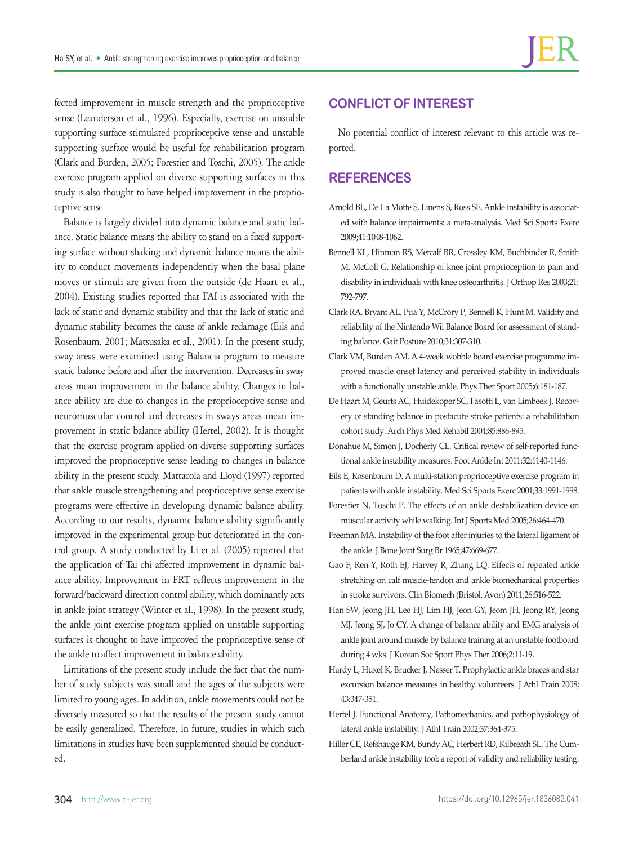fected improvement in muscle strength and the proprioceptive sense (Leanderson et al., 1996). Especially, exercise on unstable supporting surface stimulated proprioceptive sense and unstable supporting surface would be useful for rehabilitation program (Clark and Burden, 2005; Forestier and Toschi, 2005). The ankle exercise program applied on diverse supporting surfaces in this study is also thought to have helped improvement in the proprioceptive sense.

Balance is largely divided into dynamic balance and static balance. Static balance means the ability to stand on a fixed supporting surface without shaking and dynamic balance means the ability to conduct movements independently when the basal plane moves or stimuli are given from the outside (de Haart et al., 2004). Existing studies reported that FAI is associated with the lack of static and dynamic stability and that the lack of static and dynamic stability becomes the cause of ankle redamage (Eils and Rosenbaum, 2001; Matsusaka et al., 2001). In the present study, sway areas were examined using Balancia program to measure static balance before and after the intervention. Decreases in sway areas mean improvement in the balance ability. Changes in balance ability are due to changes in the proprioceptive sense and neuromuscular control and decreases in sways areas mean improvement in static balance ability (Hertel, 2002). It is thought that the exercise program applied on diverse supporting surfaces improved the proprioceptive sense leading to changes in balance ability in the present study. Mattacola and Lloyd (1997) reported that ankle muscle strengthening and proprioceptive sense exercise programs were effective in developing dynamic balance ability. According to our results, dynamic balance ability significantly improved in the experimental group but deteriorated in the control group. A study conducted by Li et al. (2005) reported that the application of Tai chi affected improvement in dynamic balance ability. Improvement in FRT reflects improvement in the forward/backward direction control ability, which dominantly acts in ankle joint strategy (Winter et al., 1998). In the present study, the ankle joint exercise program applied on unstable supporting surfaces is thought to have improved the proprioceptive sense of the ankle to affect improvement in balance ability.

Limitations of the present study include the fact that the number of study subjects was small and the ages of the subjects were limited to young ages. In addition, ankle movements could not be diversely measured so that the results of the present study cannot be easily generalized. Therefore, in future, studies in which such limitations in studies have been supplemented should be conducted.

# **CONFLICT OF INTEREST**

No potential conflict of interest relevant to this article was reported.

## **REFERENCES**

- Arnold BL, De La Motte S, Linens S, Ross SE. Ankle instability is associated with balance impairments: a meta-analysis. Med Sci Sports Exerc 2009;41:1048-1062.
- Bennell KL, Hinman RS, Metcalf BR, Crossley KM, Buchbinder R, Smith M, McColl G. Relationship of knee joint proprioception to pain and disability in individuals with knee osteoarthritis. J Orthop Res 2003;21: 792-797.
- Clark RA, Bryant AL, Pua Y, McCrory P, Bennell K, Hunt M. Validity and reliability of the Nintendo Wii Balance Board for assessment of standing balance. Gait Posture 2010;31:307-310.
- Clark VM, Burden AM. A 4-week wobble board exercise programme improved muscle onset latency and perceived stability in individuals with a functionally unstable ankle. Phys Ther Sport 2005;6:181-187.
- De Haart M, Geurts AC, Huidekoper SC, Fasotti L, van Limbeek J. Recovery of standing balance in postacute stroke patients: a rehabilitation cohort study. Arch Phys Med Rehabil 2004;85:886-895.
- Donahue M, Simon J, Docherty CL. Critical review of self-reported functional ankle instability measures. Foot Ankle Int 2011;32:1140-1146.
- Eils E, Rosenbaum D. A multi-station proprioceptive exercise program in patients with ankle instability. Med Sci Sports Exerc 2001;33:1991-1998.
- Forestier N, Toschi P. The effects of an ankle destabilization device on muscular activity while walking. Int J Sports Med 2005;26:464-470.
- Freeman MA. Instability of the foot after injuries to the lateral ligament of the ankle. J Bone Joint Surg Br 1965;47:669-677.
- Gao F, Ren Y, Roth EJ, Harvey R, Zhang LQ. Effects of repeated ankle stretching on calf muscle-tendon and ankle biomechanical properties in stroke survivors. Clin Biomech (Bristol, Avon) 2011;26:516-522.
- Han SW, Jeong JH, Lee HJ, Lim HJ, Jeon GY, Jeom JH, Jeong RY, Jeong MJ, Jeong SJ, Jo CY. A change of balance ability and EMG analysis of ankle joint around muscle by balance training at an unstable footboard during 4 wks. J Korean Soc Sport Phys Ther 2006;2:11-19.
- Hardy L, Huxel K, Brucker J, Nesser T. Prophylactic ankle braces and star excursion balance measures in healthy volunteers. J Athl Train 2008; 43:347-351.
- Hertel J. Functional Anatomy, Pathomechanics, and pathophysiology of lateral ankle instability. J Athl Train 2002;37:364-375.
- Hiller CE, Refshauge KM, Bundy AC, Herbert RD, Kilbreath SL. The Cumberland ankle instability tool: a report of validity and reliability testing.